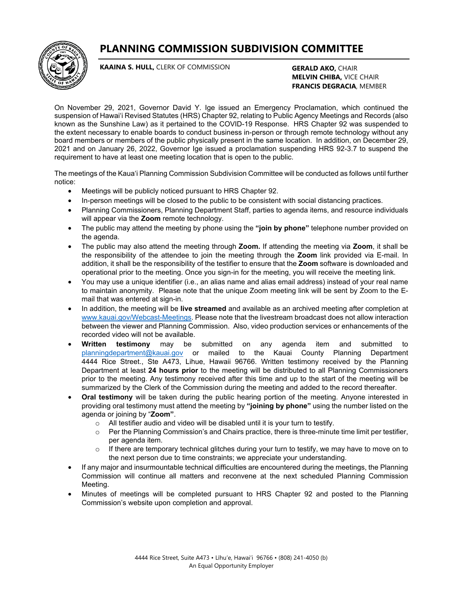**PLANNING COMMISSION SUBDIVISION COMMITTEE**



**KAAINA S. HULL,** CLERK OF COMMISSION

**GERALD AKO,** CHAIR **MELVIN CHIBA,** VICE CHAIR **FRANCIS DEGRACIA**, MEMBER

On November 29, 2021, Governor David Y. Ige issued an Emergency Proclamation, which continued the suspension of Hawai'i Revised Statutes (HRS) Chapter 92, relating to Public Agency Meetings and Records (also known as the Sunshine Law) as it pertained to the COVID-19 Response. HRS Chapter 92 was suspended to the extent necessary to enable boards to conduct business in-person or through remote technology without any board members or members of the public physically present in the same location. In addition, on December 29, 2021 and on January 26, 2022, Governor Ige issued a proclamation suspending HRS 92-3.7 to suspend the requirement to have at least one meeting location that is open to the public.

The meetings of the Kaua'i Planning Commission Subdivision Committee will be conducted as follows until further notice:

- Meetings will be publicly noticed pursuant to HRS Chapter 92.
- In-person meetings will be closed to the public to be consistent with social distancing practices.
- Planning Commissioners, Planning Department Staff, parties to agenda items, and resource individuals will appear via the **Zoom** remote technology.
- The public may attend the meeting by phone using the **"join by phone"** telephone number provided on the agenda.
- The public may also attend the meeting through **Zoom.** If attending the meeting via **Zoom**, it shall be the responsibility of the attendee to join the meeting through the **Zoom** link provided via E-mail. In addition, it shall be the responsibility of the testifier to ensure that the **Zoom** software is downloaded and operational prior to the meeting. Once you sign-in for the meeting, you will receive the meeting link.
- You may use a unique identifier (i.e., an alias name and alias email address) instead of your real name to maintain anonymity. Please note that the unique Zoom meeting link will be sent by Zoom to the Email that was entered at sign-in.
- In addition, the meeting will be **live streamed** and available as an archived meeting after completion at [www.kauai.gov/Webcast-Meetings.](http://www.kauai.gov/Webcast-Meetings) Please note that the livestream broadcast does not allow interaction between the viewer and Planning Commission. Also, video production services or enhancements of the recorded video will not be available.
- **Written testimony** may be submitted on any agenda item and submitted to [planningdepartment@kauai.gov](mailto:planningdepartment@kauai.gov) or mailed to the Kauai County Planning Department 4444 Rice Street., Ste A473, Lihue, Hawaii 96766. Written testimony received by the Planning Department at least **24 hours prior** to the meeting will be distributed to all Planning Commissioners prior to the meeting. Any testimony received after this time and up to the start of the meeting will be summarized by the Clerk of the Commission during the meeting and added to the record thereafter.
- **Oral testimony** will be taken during the public hearing portion of the meeting. Anyone interested in providing oral testimony must attend the meeting by **"joining by phone"** using the number listed on the agenda or joining by "**Zoom"**.
	- o All testifier audio and video will be disabled until it is your turn to testify.
	- o Per the Planning Commission's and Chairs practice, there is three-minute time limit per testifier, per agenda item.
	- $\circ$  If there are temporary technical glitches during your turn to testify, we may have to move on to the next person due to time constraints; we appreciate your understanding.
- If any major and insurmountable technical difficulties are encountered during the meetings, the Planning Commission will continue all matters and reconvene at the next scheduled Planning Commission Meeting.
- Minutes of meetings will be completed pursuant to HRS Chapter 92 and posted to the Planning Commission's website upon completion and approval.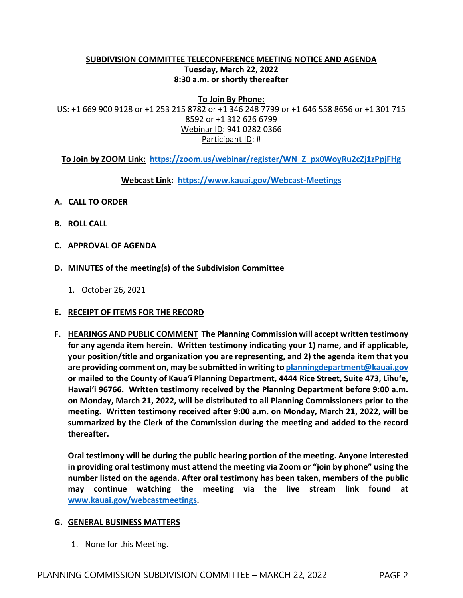### **SUBDIVISION COMMITTEE TELECONFERENCE MEETING NOTICE AND AGENDA Tuesday, March 22, 2022 8:30 a.m. or shortly thereafter**

**To Join By Phone:** US: +1 669 900 9128 or +1 253 215 8782 or +1 346 248 7799 or +1 646 558 8656 or +1 301 715 8592 or +1 312 626 6799 Webinar ID: 941 0282 0366 Participant ID: #

**To Join by ZOOM Link: [https://zoom.us/webinar/register/WN\\_Z\\_px0WoyRu2cZj1zPpjFHg](https://zoom.us/webinar/register/WN_Z_px0WoyRu2cZj1zPpjFHg)**

**Webcast Link: <https://www.kauai.gov/Webcast-Meetings>**

- **A. CALL TO ORDER**
- **B. ROLL CALL**
- **C. APPROVAL OF AGENDA**
- **D. MINUTES of the meeting(s) of the Subdivision Committee**
	- 1. October 26, 2021

#### **E. RECEIPT OF ITEMS FOR THE RECORD**

**F. HEARINGS AND PUBLIC COMMENT The Planning Commission will accept written testimony for any agenda item herein. Written testimony indicating your 1) name, and if applicable, your position/title and organization you are representing, and 2) the agenda item that you are providing comment on, may be submitted in writing t[o planningdepartment@kauai.gov](mailto:planningdepartment@kauai.gov) or mailed to the County of Kaua'i Planning Department, 4444 Rice Street, Suite 473, Līhu'e, Hawai'i 96766. Written testimony received by the Planning Department before 9:00 a.m. on Monday, March 21, 2022, will be distributed to all Planning Commissioners prior to the meeting. Written testimony received after 9:00 a.m. on Monday, March 21, 2022, will be summarized by the Clerk of the Commission during the meeting and added to the record thereafter.** 

**Oral testimony will be during the public hearing portion of the meeting. Anyone interested in providing oral testimony must attend the meeting via Zoom or "join by phone" using the number listed on the agenda. After oral testimony has been taken, members of the public may continue watching the meeting via the live stream link found at [www.kauai.gov/webcastmeetings.](http://www.kauai.gov/webcastmeetings)**

#### **G. GENERAL BUSINESS MATTERS**

1. None for this Meeting.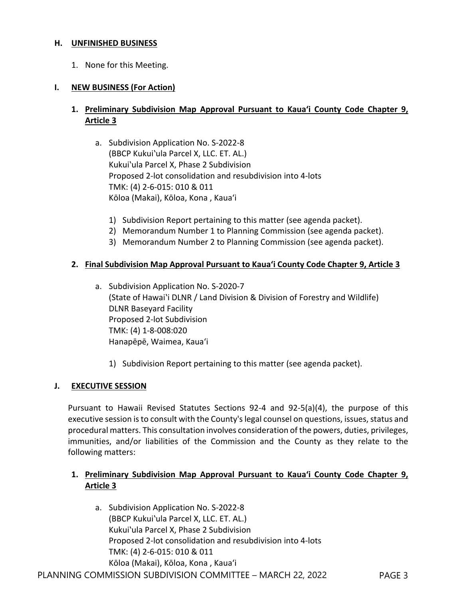### **H. UNFINISHED BUSINESS**

1. None for this Meeting.

### **I. NEW BUSINESS (For Action)**

# **1. Preliminary Subdivision Map Approval Pursuant to Kaua'i County Code Chapter 9, Article 3**

- a. Subdivision Application No. S-2022-8 (BBCP Kukui`ula Parcel X, LLC. ET. AL.) Kukui'ula Parcel X, Phase 2 Subdivision Proposed 2-lot consolidation and resubdivision into 4-lots TMK: (4) 2-6-015: 010 & 011 Kōloa (Makai), Kōloa, Kona , Kaua'i
	- 1) Subdivision Report pertaining to this matter (see agenda packet).
	- 2) Memorandum Number 1 to Planning Commission (see agenda packet).
	- 3) Memorandum Number 2 to Planning Commission (see agenda packet).

#### **2. Final Subdivision Map Approval Pursuant to Kaua'i County Code Chapter 9, Article 3**

- a. Subdivision Application No. S-2020-7 (State of Hawaiʽi DLNR / Land Division & Division of Forestry and Wildlife) DLNR Baseyard Facility Proposed 2-lot Subdivision TMK: (4) 1-8-008:020 Hanapēpē, Waimea, Kaua'i
	- 1) Subdivision Report pertaining to this matter (see agenda packet).

#### **J. EXECUTIVE SESSION**

Pursuant to Hawaii Revised Statutes Sections 92-4 and 92-5(a)(4), the purpose of this executive session is to consult with the County's legal counsel on questions, issues, status and procedural matters. This consultation involves consideration of the powers, duties, privileges, immunities, and/or liabilities of the Commission and the County as they relate to the following matters:

# **1. Preliminary Subdivision Map Approval Pursuant to Kaua'i County Code Chapter 9, Article 3**

a. Subdivision Application No. S-2022-8 (BBCP Kukuiʽula Parcel X, LLC. ET. AL.) Kukuiʽula Parcel X, Phase 2 Subdivision Proposed 2-lot consolidation and resubdivision into 4-lots TMK: (4) 2-6-015: 010 & 011 Kōloa (Makai), Kōloa, Kona , Kaua'i

PLANNING COMMISSION SUBDIVISION COMMITTEE – MARCH 22, 2022 PAGE 3